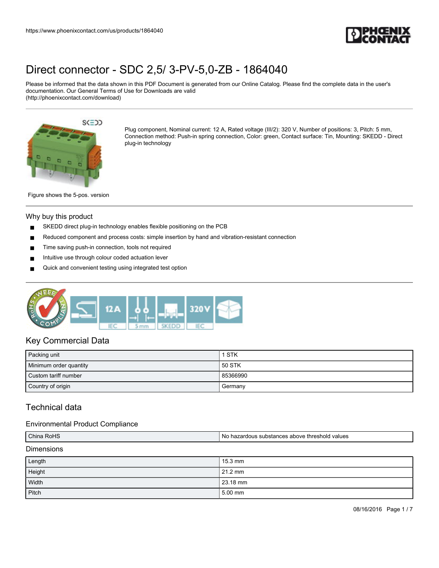

Please be informed that the data shown in this PDF Document is generated from our Online Catalog. Please find the complete data in the user's documentation. Our General Terms of Use for Downloads are valid (http://phoenixcontact.com/download)



Plug component, Nominal current: 12 A, Rated voltage (III/2): 320 V, Number of positions: 3, Pitch: 5 mm, Connection method: Push-in spring connection, Color: green, Contact surface: Tin, Mounting: SKEDD - Direct plug-in technology

Figure shows the 5-pos. version

#### Why buy this product

- SKEDD direct plug-in technology enables flexible positioning on the PCB
- Reduced component and process costs: simple insertion by hand and vibration-resistant connection
- Time saving push-in connection, tools not required
- Intuitive use through colour coded actuation lever
- Quick and convenient testing using integrated test option



## Key Commercial Data

| Packing unit           | 1 STK    |
|------------------------|----------|
| Minimum order quantity | 50 STK   |
| Custom tariff number   | 85366990 |
| Country of origin      | Germany  |

# Technical data

### Environmental Product Compliance

| China RoHS        | I No hazardous substances above threshold values |  |
|-------------------|--------------------------------------------------|--|
| <b>Dimensions</b> |                                                  |  |

| Length | 15.3 mm  |
|--------|----------|
| Height | 21.2 mm  |
| Width  | 23.18 mm |
| Pitch  | 5.00 mm  |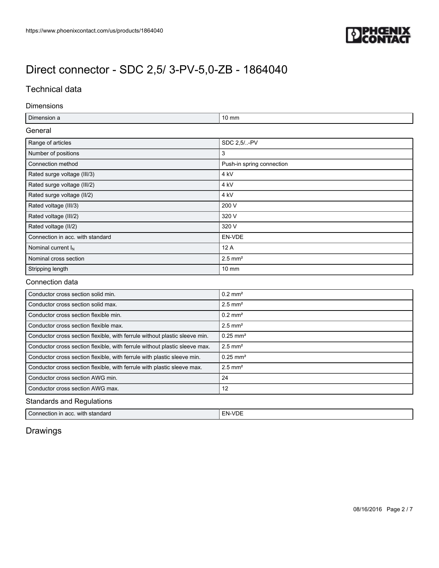

# Technical data

### Dimensions

| Dimension a                      | $10 \text{ mm}$           |  |
|----------------------------------|---------------------------|--|
| General                          |                           |  |
| Range of articles                | SDC 2,5/-PV               |  |
| Number of positions              | 3                         |  |
| Connection method                | Push-in spring connection |  |
| Rated surge voltage (III/3)      | 4 kV                      |  |
| Rated surge voltage (III/2)      | 4 kV                      |  |
| Rated surge voltage (II/2)       | 4 kV                      |  |
| Rated voltage (III/3)            | 200 V                     |  |
| Rated voltage (III/2)            | 320 V                     |  |
| Rated voltage (II/2)             | 320 V                     |  |
| Connection in acc. with standard | EN-VDE                    |  |
| Nominal current $I_N$            | 12 A                      |  |
| Nominal cross section            | $2.5$ mm <sup>2</sup>     |  |
| Stripping length                 | $10 \text{ mm}$           |  |

### Connection data

| Conductor cross section solid min.                                         | $0.2$ mm <sup>2</sup>  |
|----------------------------------------------------------------------------|------------------------|
| Conductor cross section solid max.                                         | $2.5$ mm <sup>2</sup>  |
| Conductor cross section flexible min.                                      | $0.2$ mm <sup>2</sup>  |
| Conductor cross section flexible max.                                      | $2.5$ mm <sup>2</sup>  |
| Conductor cross section flexible, with ferrule without plastic sleeve min. | $0.25$ mm <sup>2</sup> |
| Conductor cross section flexible, with ferrule without plastic sleeve max. | $2.5$ mm <sup>2</sup>  |
| Conductor cross section flexible, with ferrule with plastic sleeve min.    | $0.25$ mm <sup>2</sup> |
| Conductor cross section flexible, with ferrule with plastic sleeve max.    | $2.5$ mm <sup>2</sup>  |
| Conductor cross section AWG min.                                           | 24                     |
| Conductor cross section AWG max.                                           | 12                     |
| $\mathbf{O}$ and the set of $\mathbf{D}$ and $\mathbf{H}$ and $\mathbf{H}$ |                        |

## Standards and Regulations

| with standard      | . 11 |
|--------------------|------|
| -                  | - NL |
| Connection in acc. | - 17 |
|                    |      |

Drawings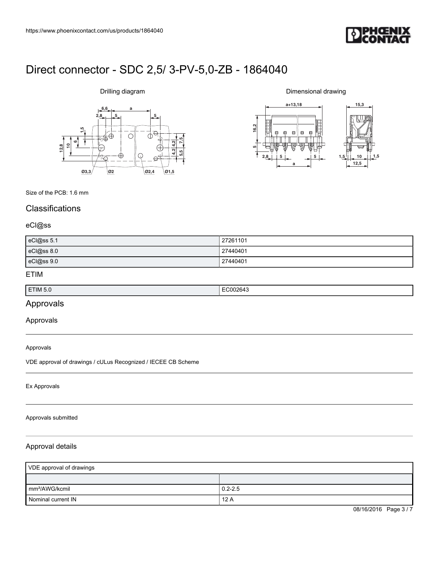

## Drilling diagram



Dimensional drawing



#### Size of the PCB: 1.6 mm

# **Classifications**

## eCl@ss

| eCl@ss 5.1 | 27261101 |
|------------|----------|
| eCl@ss 8.0 | 27440401 |
| eCl@ss 9.0 | 27440401 |

## ETIM

| ETIM 5.0 | `002643<br>. |
|----------|--------------|

## Approvals

### Approvals

Approvals

VDE approval of drawings / cULus Recognized / IECEE CB Scheme

#### Ex Approvals

#### Approvals submitted

### Approval details

| VDE approval of drawings   |             |  |
|----------------------------|-------------|--|
|                            |             |  |
| mm <sup>2</sup> /AWG/kcmil | $0.2 - 2.5$ |  |
| Nominal current IN         | 12A         |  |

08/16/2016 Page 3/7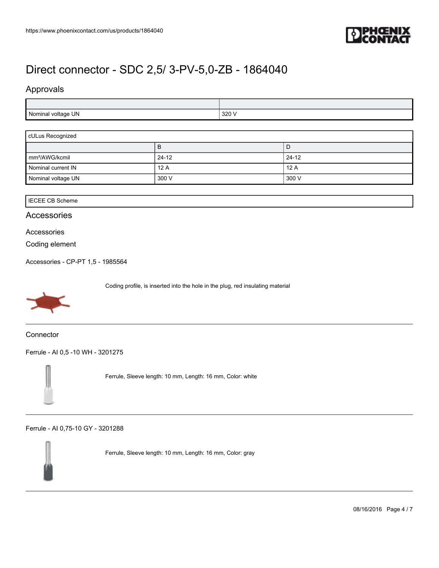

# Approvals

| I voltage UN | 320 V  |
|--------------|--------|
| Nominal      | $\sim$ |

| cULus Recognized           |           |         |
|----------------------------|-----------|---------|
|                            | в         | D       |
| mm <sup>2</sup> /AWG/kcmil | $24 - 12$ | $24-12$ |
| Nominal current IN         | 12A       | ' 12 A  |
| Nominal voltage UN         | 300 V     | 300 V   |

## IECEE CB Scheme

## Accessories

### Accessories

Coding element

[Accessories - CP-PT 1,5 - 1985564](https://www.phoenixcontact.com/us/products/1985564)



Coding profile, is inserted into the hole in the plug, red insulating material

**Connector** 

[Ferrule - AI 0,5 -10 WH - 3201275](https://www.phoenixcontact.com/us/products/3201275)



Ferrule, Sleeve length: 10 mm, Length: 16 mm, Color: white

[Ferrule - AI 0,75-10 GY - 3201288](https://www.phoenixcontact.com/us/products/3201288)



Ferrule, Sleeve length: 10 mm, Length: 16 mm, Color: gray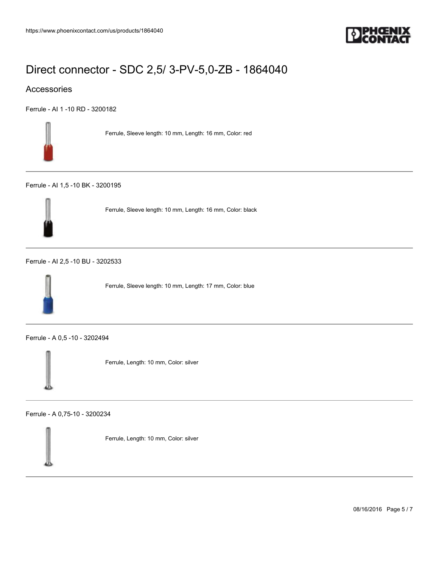

## Accessories

[Ferrule - AI 1 -10 RD - 3200182](https://www.phoenixcontact.com/us/products/3200182)



Ferrule, Sleeve length: 10 mm, Length: 16 mm, Color: red

#### [Ferrule - AI 1,5 -10 BK - 3200195](https://www.phoenixcontact.com/us/products/3200195)



Ferrule, Sleeve length: 10 mm, Length: 16 mm, Color: black

### [Ferrule - AI 2,5 -10 BU - 3202533](https://www.phoenixcontact.com/us/products/3202533)



Ferrule, Sleeve length: 10 mm, Length: 17 mm, Color: blue

[Ferrule - A 0,5 -10 - 3202494](https://www.phoenixcontact.com/us/products/3202494)



Ferrule, Length: 10 mm, Color: silver

[Ferrule - A 0,75-10 - 3200234](https://www.phoenixcontact.com/us/products/3200234)

Ferrule, Length: 10 mm, Color: silver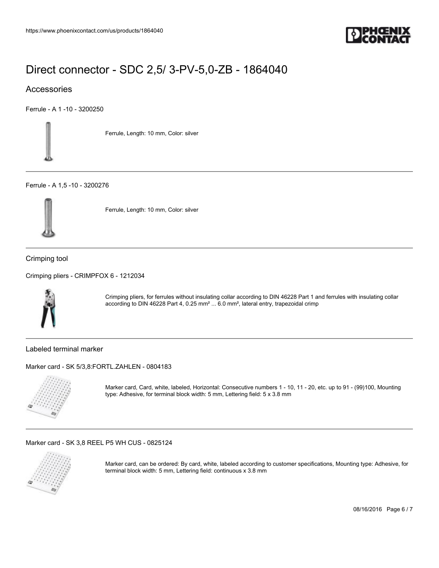

## Accessories

[Ferrule - A 1 -10 - 3200250](https://www.phoenixcontact.com/us/products/3200250)



Ferrule, Length: 10 mm, Color: silver

### [Ferrule - A 1,5 -10 - 3200276](https://www.phoenixcontact.com/us/products/3200276)



Ferrule, Length: 10 mm, Color: silver

Crimping tool

[Crimping pliers - CRIMPFOX 6 - 1212034](https://www.phoenixcontact.com/us/products/1212034)



Crimping pliers, for ferrules without insulating collar according to DIN 46228 Part 1 and ferrules with insulating collar according to DIN 46228 Part 4, 0.25 mm² ... 6.0 mm², lateral entry, trapezoidal crimp

Labeled terminal marker

[Marker card - SK 5/3,8:FORTL.ZAHLEN - 0804183](https://www.phoenixcontact.com/us/products/0804183)



Marker card, Card, white, labeled, Horizontal: Consecutive numbers 1 - 10, 11 - 20, etc. up to 91 - (99)100, Mounting type: Adhesive, for terminal block width: 5 mm, Lettering field: 5 x 3.8 mm

[Marker card - SK 3,8 REEL P5 WH CUS - 0825124](https://www.phoenixcontact.com/us/products/0825124)



Marker card, can be ordered: By card, white, labeled according to customer specifications, Mounting type: Adhesive, for terminal block width: 5 mm, Lettering field: continuous x 3.8 mm